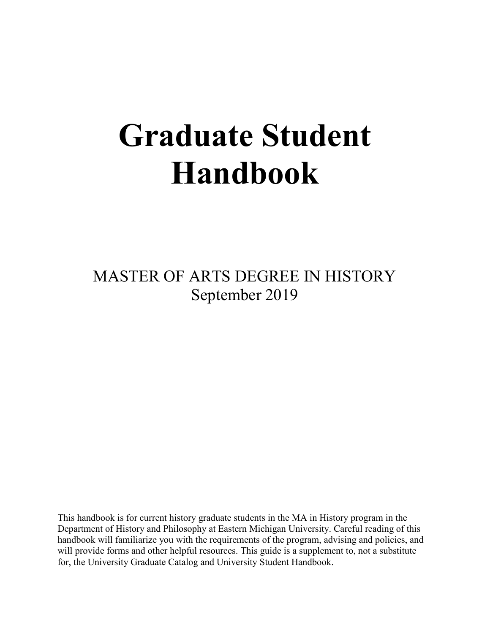# **Graduate Student Handbook**

MASTER OF ARTS DEGREE IN HISTORY September 2019

This handbook is for current history graduate students in the MA in History program in the Department of History and Philosophy at Eastern Michigan University. Careful reading of this handbook will familiarize you with the requirements of the program, advising and policies, and will provide forms and other helpful resources. This guide is a supplement to, not a substitute for, the University Graduate Catalog and University Student Handbook.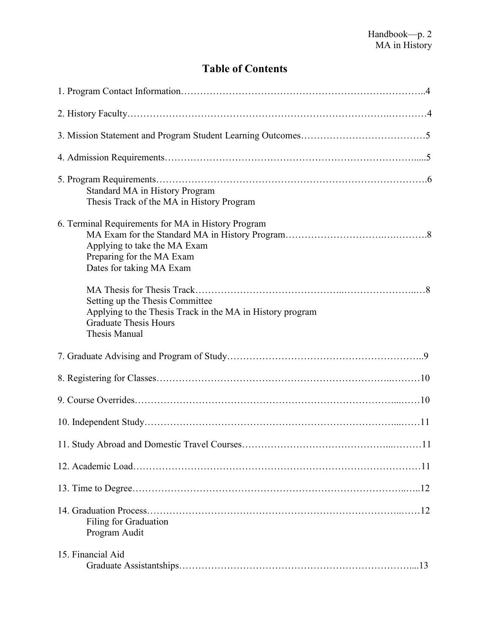# **Table of Contents**

| Standard MA in History Program<br>Thesis Track of the MA in History Program                                                                          |
|------------------------------------------------------------------------------------------------------------------------------------------------------|
| 6. Terminal Requirements for MA in History Program<br>Applying to take the MA Exam<br>Preparing for the MA Exam<br>Dates for taking MA Exam          |
| Setting up the Thesis Committee<br>Applying to the Thesis Track in the MA in History program<br><b>Graduate Thesis Hours</b><br><b>Thesis Manual</b> |
|                                                                                                                                                      |
|                                                                                                                                                      |
|                                                                                                                                                      |
|                                                                                                                                                      |
|                                                                                                                                                      |
|                                                                                                                                                      |
|                                                                                                                                                      |
| Filing for Graduation<br>Program Audit                                                                                                               |
| 15. Financial Aid                                                                                                                                    |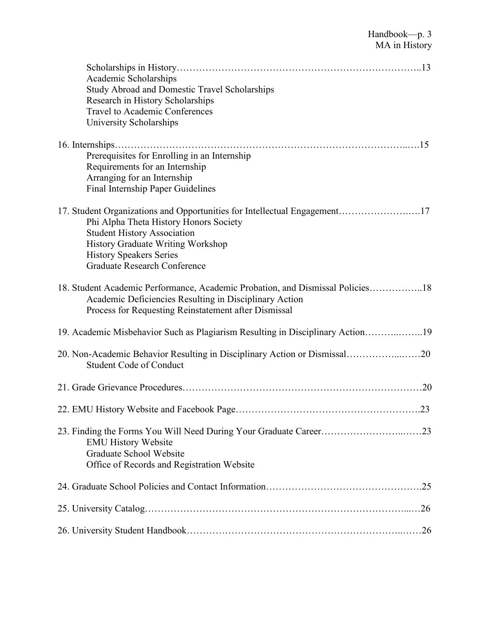| Academic Scholarships<br><b>Study Abroad and Domestic Travel Scholarships</b><br>Research in History Scholarships<br><b>Travel to Academic Conferences</b><br>University Scholarships                                                                                   |  |
|-------------------------------------------------------------------------------------------------------------------------------------------------------------------------------------------------------------------------------------------------------------------------|--|
| Prerequisites for Enrolling in an Internship<br>Requirements for an Internship<br>Arranging for an Internship<br>Final Internship Paper Guidelines                                                                                                                      |  |
| 17. Student Organizations and Opportunities for Intellectual Engagement17<br>Phi Alpha Theta History Honors Society<br><b>Student History Association</b><br>History Graduate Writing Workshop<br><b>History Speakers Series</b><br><b>Graduate Research Conference</b> |  |
| 18. Student Academic Performance, Academic Probation, and Dismissal Policies18<br>Academic Deficiencies Resulting in Disciplinary Action<br>Process for Requesting Reinstatement after Dismissal                                                                        |  |
| 19. Academic Misbehavior Such as Plagiarism Resulting in Disciplinary Action19                                                                                                                                                                                          |  |
| 20. Non-Academic Behavior Resulting in Disciplinary Action or Dismissal20<br><b>Student Code of Conduct</b>                                                                                                                                                             |  |
|                                                                                                                                                                                                                                                                         |  |
|                                                                                                                                                                                                                                                                         |  |
| <b>EMU History Website</b><br>Graduate School Website<br>Office of Records and Registration Website                                                                                                                                                                     |  |
|                                                                                                                                                                                                                                                                         |  |
|                                                                                                                                                                                                                                                                         |  |
|                                                                                                                                                                                                                                                                         |  |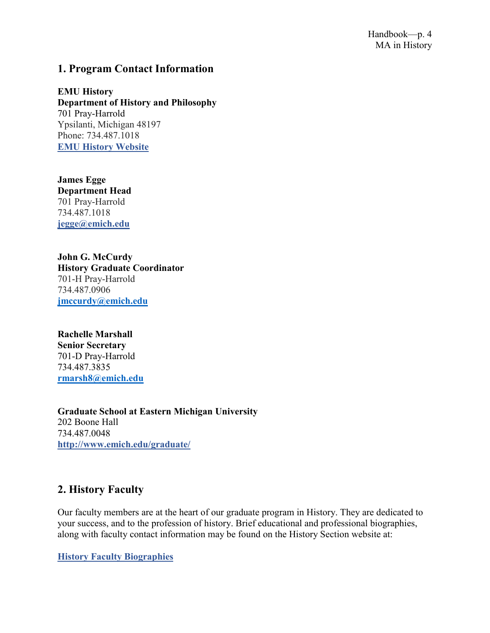## **1. Program Contact Information**

**EMU History Department of History and Philosophy** 701 Pray-Harrold Ypsilanti, Michigan 48197 Phone: 734.487.1018 **[EMU History Website](https://www.emich.edu/historyphilosophy/history/index.php)**

**James Egge Department Head** 701 Pray-Harrold 734.487.1018 **[jegge@emich.edu](mailto:jegge@emich.edu)**

**John G. McCurdy History Graduate Coordinator** 701-H Pray-Harrold 734.487.0906 **[jmccurdy@emich.edu](mailto:jmccurdy@emich.edu)**

**Rachelle Marshall Senior Secretary** 701-D Pray-Harrold 734.487.3835 **[rmarsh8@emich.edu](mailto:rmarsh8@emich.edu)**

**Graduate School at Eastern Michigan University** 202 Boone Hall 734.487.0048 **<http://www.emich.edu/graduate/>**

# **2. History Faculty**

Our faculty members are at the heart of our graduate program in History. They are dedicated to your success, and to the profession of history. Brief educational and professional biographies, along with faculty contact information may be found on the History Section website at:

**[History Faculty Biographies](https://www.emich.edu/historyphilosophy/history/faculty/index.php)**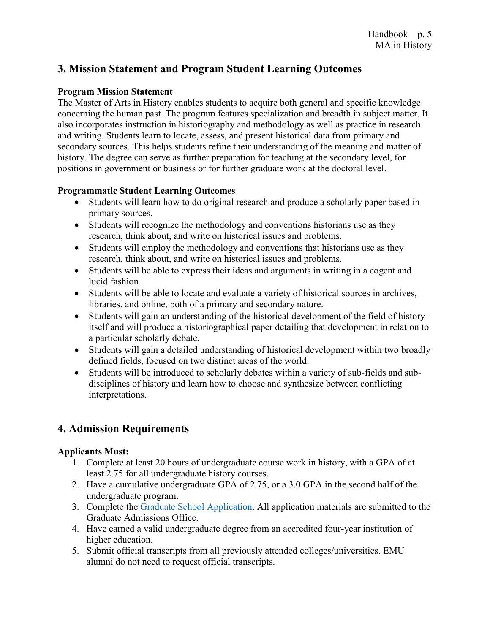## **3. Mission Statement and Program Student Learning Outcomes**

#### **Program Mission Statement**

The Master of Arts in History enables students to acquire both general and specific knowledge concerning the human past. The program features specialization and breadth in subject matter. It also incorporates instruction in historiography and methodology as well as practice in research and writing. Students learn to locate, assess, and present historical data from primary and secondary sources. This helps students refine their understanding of the meaning and matter of history. The degree can serve as further preparation for teaching at the secondary level, for positions in government or business or for further graduate work at the doctoral level.

#### **Programmatic Student Learning Outcomes**

- Students will learn how to do original research and produce a scholarly paper based in primary sources.
- Students will recognize the methodology and conventions historians use as they research, think about, and write on historical issues and problems.
- Students will employ the methodology and conventions that historians use as they research, think about, and write on historical issues and problems.
- Students will be able to express their ideas and arguments in writing in a cogent and lucid fashion.
- Students will be able to locate and evaluate a variety of historical sources in archives, libraries, and online, both of a primary and secondary nature.
- Students will gain an understanding of the historical development of the field of history itself and will produce a historiographical paper detailing that development in relation to a particular scholarly debate.
- Students will gain a detailed understanding of historical development within two broadly defined fields, focused on two distinct areas of the world.
- Students will be introduced to scholarly debates within a variety of sub-fields and subdisciplines of history and learn how to choose and synthesize between conflicting interpretations.

# **4. Admission Requirements**

#### **Applicants Must:**

- 1. Complete at least 20 hours of undergraduate course work in history, with a GPA of at least 2.75 for all undergraduate history courses.
- 2. Have a cumulative undergraduate GPA of 2.75, or a 3.0 GPA in the second half of the undergraduate program.
- 3. Complete the [Graduate School Application.](http://emich.edu/graduate/apply) All application materials are submitted to the Graduate Admissions Office.
- 4. Have earned a valid undergraduate degree from an accredited four-year institution of higher education.
- 5. Submit official transcripts from all previously attended colleges/universities. EMU alumni do not need to request official transcripts.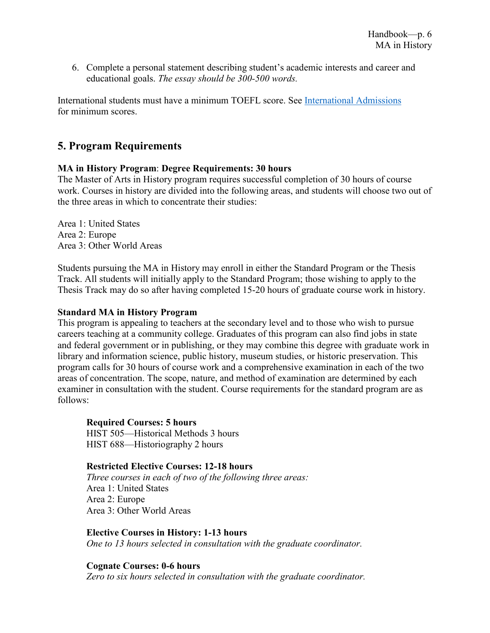6. Complete a personal statement describing student's academic interests and career and educational goals. *The essay should be 300-500 words.*

International students must have a minimum TOEFL score. See [International Admissions](https://www.emich.edu/international/graduate/graduate-checklist.php) for minimum scores.

# **5. Program Requirements**

#### **MA in History Program**: **Degree Requirements: 30 hours**

The Master of Arts in History program requires successful completion of 30 hours of course work. Courses in history are divided into the following areas, and students will choose two out of the three areas in which to concentrate their studies:

Area 1: United States Area 2: Europe Area 3: Other World Areas

Students pursuing the MA in History may enroll in either the Standard Program or the Thesis Track. All students will initially apply to the Standard Program; those wishing to apply to the Thesis Track may do so after having completed 15-20 hours of graduate course work in history.

#### **Standard MA in History Program**

This program is appealing to teachers at the secondary level and to those who wish to pursue careers teaching at a community college. Graduates of this program can also find jobs in state and federal government or in publishing, or they may combine this degree with graduate work in library and information science, public history, museum studies, or historic preservation. This program calls for 30 hours of course work and a comprehensive examination in each of the two areas of concentration. The scope, nature, and method of examination are determined by each examiner in consultation with the student. Course requirements for the standard program are as follows:

#### **Required Courses: 5 hours**

HIST 505—Historical Methods 3 hours HIST 688—Historiography 2 hours

#### **Restricted Elective Courses: 12-18 hours**

*Three courses in each of two of the following three areas:* Area 1: United States Area 2: Europe Area 3: Other World Areas

#### **Elective Courses in History: 1-13 hours**

*One to 13 hours selected in consultation with the graduate coordinator.*

#### **Cognate Courses: 0-6 hours**

*Zero to six hours selected in consultation with the graduate coordinator.*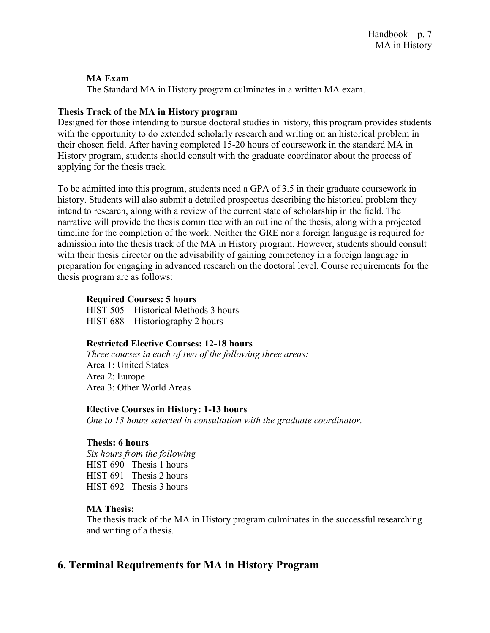#### **MA Exam**

The Standard MA in History program culminates in a written MA exam.

#### **Thesis Track of the MA in History program**

Designed for those intending to pursue doctoral studies in history, this program provides students with the opportunity to do extended scholarly research and writing on an historical problem in their chosen field. After having completed 15-20 hours of coursework in the standard MA in History program, students should consult with the graduate coordinator about the process of applying for the thesis track.

To be admitted into this program, students need a GPA of 3.5 in their graduate coursework in history. Students will also submit a detailed prospectus describing the historical problem they intend to research, along with a review of the current state of scholarship in the field. The narrative will provide the thesis committee with an outline of the thesis, along with a projected timeline for the completion of the work. Neither the GRE nor a foreign language is required for admission into the thesis track of the MA in History program. However, students should consult with their thesis director on the advisability of gaining competency in a foreign language in preparation for engaging in advanced research on the doctoral level. Course requirements for the thesis program are as follows:

#### **Required Courses: 5 hours**

HIST 505 – Historical Methods 3 hours HIST 688 – Historiography 2 hours

#### **Restricted Elective Courses: 12-18 hours**

*Three courses in each of two of the following three areas:* Area 1: United States Area 2: Europe Area 3: Other World Areas

#### **Elective Courses in History: 1-13 hours**

*One to 13 hours selected in consultation with the graduate coordinator.*

#### **Thesis: 6 hours**

*Six hours from the following* HIST 690 –Thesis 1 hours HIST 691 –Thesis 2 hours HIST 692 *–*Thesis 3 hours

#### **MA Thesis:**

The thesis track of the MA in History program culminates in the successful researching and writing of a thesis.

## **6. Terminal Requirements for MA in History Program**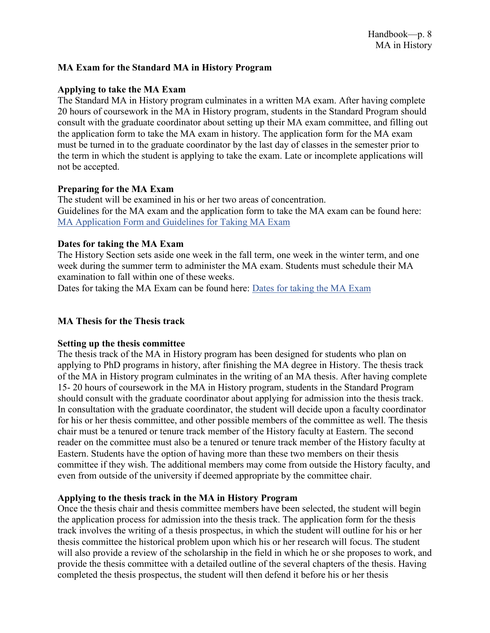#### **MA Exam for the Standard MA in History Program**

#### **Applying to take the MA Exam**

The Standard MA in History program culminates in a written MA exam. After having complete 20 hours of coursework in the MA in History program, students in the Standard Program should consult with the graduate coordinator about setting up their MA exam committee, and filling out the application form to take the MA exam in history. The application form for the MA exam must be turned in to the graduate coordinator by the last day of classes in the semester prior to the term in which the student is applying to take the exam. Late or incomplete applications will not be accepted.

#### **Preparing for the MA Exam**

The student will be examined in his or her two areas of concentration. Guidelines for the MA exam and the application form to take the MA exam can be found here: MA [Application Form and Guidelines for Taking MA](https://www.emich.edu/historyphilosophy/history/advising/graduate-advising.php) Exam

#### **Dates for taking the MA Exam**

The History Section sets aside one week in the fall term, one week in the winter term, and one week during the summer term to administer the MA exam. Students must schedule their MA examination to fall within one of these weeks.

Dates for taking the MA Exam can be found here: [Dates for taking the MA](https://www.emich.edu/historyphilosophy/history/advising/graduate-advising.php) Exam

#### **MA Thesis for the Thesis track**

#### **Setting up the thesis committee**

The thesis track of the MA in History program has been designed for students who plan on applying to PhD programs in history, after finishing the MA degree in History. The thesis track of the MA in History program culminates in the writing of an MA thesis. After having complete 15- 20 hours of coursework in the MA in History program, students in the Standard Program should consult with the graduate coordinator about applying for admission into the thesis track. In consultation with the graduate coordinator, the student will decide upon a faculty coordinator for his or her thesis committee, and other possible members of the committee as well. The thesis chair must be a tenured or tenure track member of the History faculty at Eastern. The second reader on the committee must also be a tenured or tenure track member of the History faculty at Eastern. Students have the option of having more than these two members on their thesis committee if they wish. The additional members may come from outside the History faculty, and even from outside of the university if deemed appropriate by the committee chair.

#### **Applying to the thesis track in the MA in History Program**

Once the thesis chair and thesis committee members have been selected, the student will begin the application process for admission into the thesis track. The application form for the thesis track involves the writing of a thesis prospectus, in which the student will outline for his or her thesis committee the historical problem upon which his or her research will focus. The student will also provide a review of the scholarship in the field in which he or she proposes to work, and provide the thesis committee with a detailed outline of the several chapters of the thesis. Having completed the thesis prospectus, the student will then defend it before his or her thesis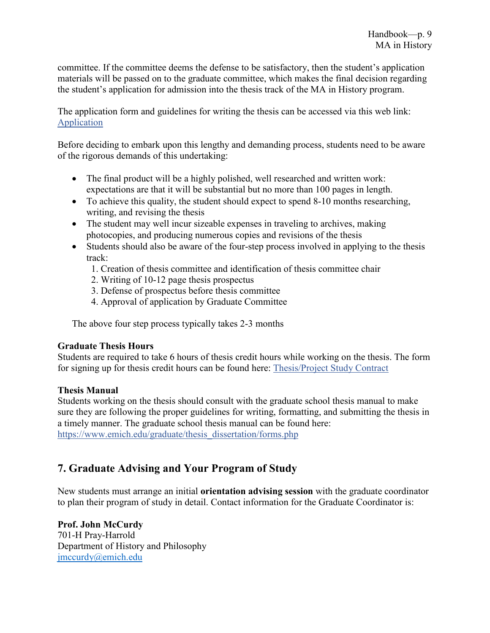committee. If the committee deems the defense to be satisfactory, then the student's application materials will be passed on to the graduate committee, which makes the final decision regarding the student's application for admission into the thesis track of the MA in History program.

The application form and guidelines for writing the thesis can be accessed via this web link: [Application](https://www.emich.edu/historyphilosophy/history/documents/mathesisapp.doc)

Before deciding to embark upon this lengthy and demanding process, students need to be aware of the rigorous demands of this undertaking:

- The final product will be a highly polished, well researched and written work: expectations are that it will be substantial but no more than 100 pages in length.
- To achieve this quality, the student should expect to spend 8-10 months researching, writing, and revising the thesis
- The student may well incur sizeable expenses in traveling to archives, making photocopies, and producing numerous copies and revisions of the thesis
- Students should also be aware of the four-step process involved in applying to the thesis track:
	- 1. Creation of thesis committee and identification of thesis committee chair
	- 2. Writing of 10-12 page thesis prospectus
	- 3. Defense of prospectus before thesis committee
	- 4. Approval of application by Graduate Committee

The above four step process typically takes 2-3 months

#### **Graduate Thesis Hours**

Students are required to take 6 hours of thesis credit hours while working on the thesis. The form for signing up for thesis credit hours can be found here: [Thesis/Project Study Contract](https://www.emich.edu/historyphilosophy/history/advising/graduate-advising.php)

#### **Thesis Manual**

Students working on the thesis should consult with the graduate school thesis manual to make sure they are following the proper guidelines for writing, formatting, and submitting the thesis in a timely manner. The graduate school thesis manual can be found here: [https://www.emich.edu/graduate/thesis\\_dissertation/forms.php](https://www.emich.edu/graduate/thesis_dissertation/forms.php)

# **7. Graduate Advising and Your Program of Study**

New students must arrange an initial **orientation advising session** with the graduate coordinator to plan their program of study in detail. Contact information for the Graduate Coordinator is:

**Prof. John McCurdy** 701-H Pray-Harrold Department of History and Philosophy [jmccurdy@emich.edu](mailto:jmccurdy@emich.edu)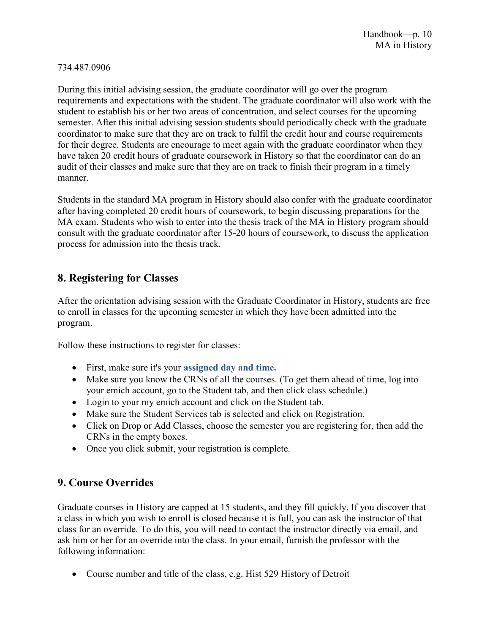#### 734.487.0906

During this initial advising session, the graduate coordinator will go over the program requirements and expectations with the student. The graduate coordinator will also work with the student to establish his or her two areas of concentration, and select courses for the upcoming semester. After this initial advising session students should periodically check with the graduate coordinator to make sure that they are on track to fulfil the credit hour and course requirements for their degree. Students are encourage to meet again with the graduate coordinator when they have taken 20 credit hours of graduate coursework in History so that the coordinator can do an audit of their classes and make sure that they are on track to finish their program in a timely manner.

Students in the standard MA program in History should also confer with the graduate coordinator after having completed 20 credit hours of coursework, to begin discussing preparations for the MA exam. Students who wish to enter into the thesis track of the MA in History program should consult with the graduate coordinator after 15-20 hours of coursework, to discuss the application process for admission into the thesis track.

# **8. Registering for Classes**

After the orientation advising session with the Graduate Coordinator in History, students are free to enroll in classes for the upcoming semester in which they have been admitted into the program.

Follow these instructions to register for classes:

- First, make sure it's your **[assigned day](https://www.emich.edu/registrar/calendars/fall-2018/appointments.php) and time.**
- Make sure you know the CRNs of all the courses. (To get them ahead of time, log into your emich account, go to the Student tab, and then click class schedule.)
- Login to your my emich account and click on the Student tab.
- Make sure the Student Services tab is selected and click on Registration.
- Click on Drop or Add Classes, choose the semester you are registering for, then add the CRNs in the empty boxes.
- Once you click submit, your registration is complete.

# **9. Course Overrides**

Graduate courses in History are capped at 15 students, and they fill quickly. If you discover that a class in which you wish to enroll is closed because it is full, you can ask the instructor of that class for an override. To do this, you will need to contact the instructor directly via email, and ask him or her for an override into the class. In your email, furnish the professor with the following information:

• Course number and title of the class, e.g. Hist 529 History of Detroit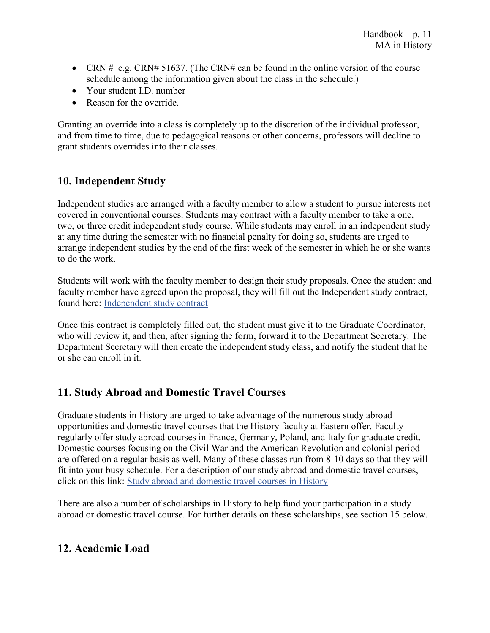- CRN  $#$  e.g. CRN# 51637. (The CRN# can be found in the online version of the course schedule among the information given about the class in the schedule.)
- Your student I.D. number
- Reason for the override

Granting an override into a class is completely up to the discretion of the individual professor, and from time to time, due to pedagogical reasons or other concerns, professors will decline to grant students overrides into their classes.

# **10. Independent Study**

Independent studies are arranged with a faculty member to allow a student to pursue interests not covered in conventional courses. Students may contract with a faculty member to take a one, two, or three credit independent study course. While students may enroll in an independent study at any time during the semester with no financial penalty for doing so, students are urged to arrange independent studies by the end of the first week of the semester in which he or she wants to do the work.

Students will work with the faculty member to design their study proposals. Once the student and faculty member have agreed upon the proposal, they will fill out the Independent study contract, found here: [Independent study contract](https://www.emich.edu/historyphilosophy/history/documents/independentstudy.pdf)

Once this contract is completely filled out, the student must give it to the Graduate Coordinator, who will review it, and then, after signing the form, forward it to the Department Secretary. The Department Secretary will then create the independent study class, and notify the student that he or she can enroll in it.

# **11. Study Abroad and Domestic Travel Courses**

Graduate students in History are urged to take advantage of the numerous study abroad opportunities and domestic travel courses that the History faculty at Eastern offer. Faculty regularly offer study abroad courses in France, Germany, Poland, and Italy for graduate credit. Domestic courses focusing on the Civil War and the American Revolution and colonial period are offered on a regular basis as well. Many of these classes run from 8-10 days so that they will fit into your busy schedule. For a description of our study abroad and domestic travel courses, click on this link: [Study abroad and domestic travel courses in History](https://www.emich.edu/historyphilosophy/history/beyond-the-classroom/travel-classes.php)

There are also a number of scholarships in History to help fund your participation in a study abroad or domestic travel course. For further details on these scholarships, see section 15 below.

# **12. Academic Load**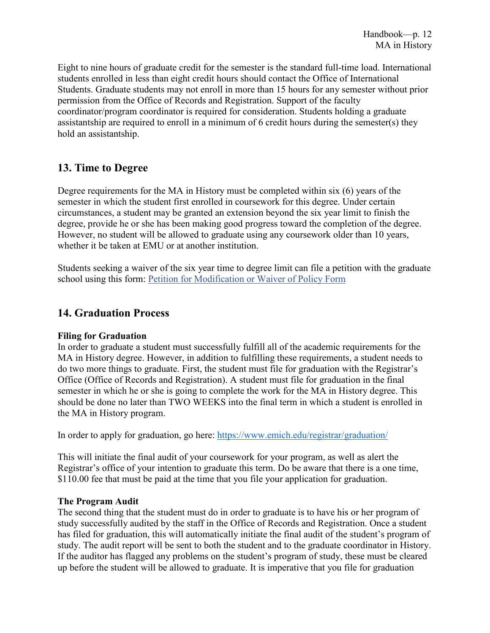Eight to nine hours of graduate credit for the semester is the standard full-time load. International students enrolled in less than eight credit hours should contact the Office of International Students. Graduate students may not enroll in more than 15 hours for any semester without prior permission from the Office of Records and Registration. Support of the faculty coordinator/program coordinator is required for consideration. Students holding a graduate assistantship are required to enroll in a minimum of 6 credit hours during the semester(s) they hold an assistantship.

# **13. Time to Degree**

Degree requirements for the MA in History must be completed within six (6) years of the semester in which the student first enrolled in coursework for this degree. Under certain circumstances, a student may be granted an extension beyond the six year limit to finish the degree, provide he or she has been making good progress toward the completion of the degree. However, no student will be allowed to graduate using any coursework older than 10 years, whether it be taken at EMU or at another institution.

Students seeking a waiver of the six year time to degree limit can file a petition with the graduate school using this form: [Petition for Modification or Waiver of Policy Form](https://app.emich.edu/gradpetition/views/login)

## **14. Graduation Process**

#### **Filing for Graduation**

In order to graduate a student must successfully fulfill all of the academic requirements for the MA in History degree. However, in addition to fulfilling these requirements, a student needs to do two more things to graduate. First, the student must file for graduation with the Registrar's Office (Office of Records and Registration). A student must file for graduation in the final semester in which he or she is going to complete the work for the MA in History degree. This should be done no later than TWO WEEKS into the final term in which a student is enrolled in the MA in History program.

In order to apply for graduation, go here:<https://www.emich.edu/registrar/graduation/>

This will initiate the final audit of your coursework for your program, as well as alert the Registrar's office of your intention to graduate this term. Do be aware that there is a one time, \$110.00 fee that must be paid at the time that you file your application for graduation.

#### **The Program Audit**

The second thing that the student must do in order to graduate is to have his or her program of study successfully audited by the staff in the Office of Records and Registration. Once a student has filed for graduation, this will automatically initiate the final audit of the student's program of study. The audit report will be sent to both the student and to the graduate coordinator in History. If the auditor has flagged any problems on the student's program of study, these must be cleared up before the student will be allowed to graduate. It is imperative that you file for graduation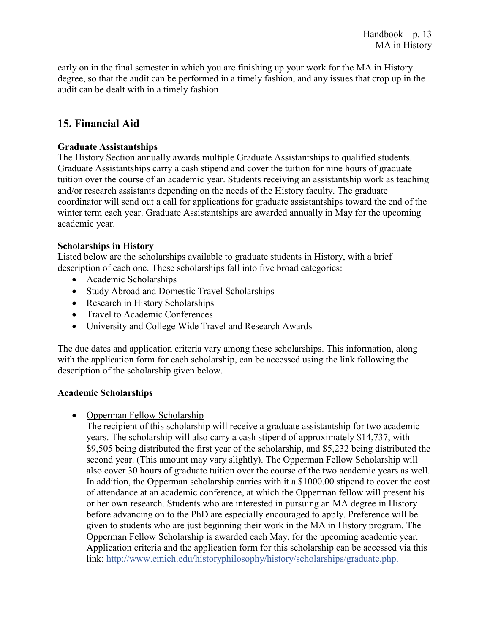early on in the final semester in which you are finishing up your work for the MA in History degree, so that the audit can be performed in a timely fashion, and any issues that crop up in the audit can be dealt with in a timely fashion

# **15. Financial Aid**

#### **Graduate Assistantships**

The History Section annually awards multiple Graduate Assistantships to qualified students. Graduate Assistantships carry a cash stipend and cover the tuition for nine hours of graduate tuition over the course of an academic year. Students receiving an assistantship work as teaching and/or research assistants depending on the needs of the History faculty. The graduate coordinator will send out a call for applications for graduate assistantships toward the end of the winter term each year. Graduate Assistantships are awarded annually in May for the upcoming academic year.

#### **Scholarships in History**

Listed below are the scholarships available to graduate students in History, with a brief description of each one. These scholarships fall into five broad categories:

- Academic Scholarships
- Study Abroad and Domestic Travel Scholarships
- Research in History Scholarships
- Travel to Academic Conferences
- University and College Wide Travel and Research Awards

The due dates and application criteria vary among these scholarships. This information, along with the application form for each scholarship, can be accessed using the link following the description of the scholarship given below.

#### **Academic Scholarships**

• Opperman Fellow Scholarship

The recipient of this scholarship will receive a graduate assistantship for two academic years. The scholarship will also carry a cash stipend of approximately \$14,737, with \$9,505 being distributed the first year of the scholarship, and \$5,232 being distributed the second year. (This amount may vary slightly). The Opperman Fellow Scholarship will also cover 30 hours of graduate tuition over the course of the two academic years as well. In addition, the Opperman scholarship carries with it a \$1000.00 stipend to cover the cost of attendance at an academic conference, at which the Opperman fellow will present his or her own research. Students who are interested in pursuing an MA degree in History before advancing on to the PhD are especially encouraged to apply. Preference will be given to students who are just beginning their work in the MA in History program. The Opperman Fellow Scholarship is awarded each May, for the upcoming academic year. Application criteria and the application form for this scholarship can be accessed via this link: [http://www.emich.edu/historyphilosophy/history/scholarships/graduate.php.](http://www.emich.edu/historyphilosophy/history/scholarships/graduate.php)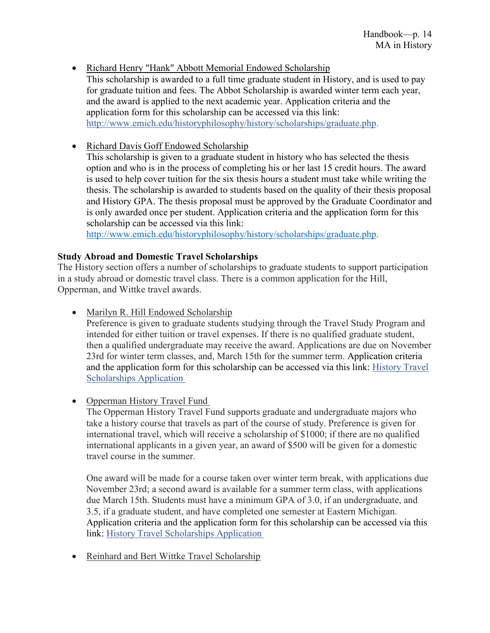• Richard Henry "Hank" Abbott Memorial Endowed Scholarship

This scholarship is awarded to a full time graduate student in History, and is used to pay for graduate tuition and fees. The Abbot Scholarship is awarded winter term each year, and the award is applied to the next academic year. Application criteria and the application form for this scholarship can be accessed via this link: [http://www.emich.edu/historyphilosophy/history/scholarships/graduate.php.](http://www.emich.edu/historyphilosophy/history/scholarships/graduate.php)

• Richard Davis Goff Endowed Scholarship

This scholarship is given to a graduate student in history who has selected the thesis option and who is in the process of completing his or her last 15 credit hours. The award is used to help cover tuition for the six thesis hours a student must take while writing the thesis. The scholarship is awarded to students based on the quality of their thesis proposal and History GPA. The thesis proposal must be approved by the Graduate Coordinator and is only awarded once per student. Application criteria and the application form for this scholarship can be accessed via this link:

[http://www.emich.edu/historyphilosophy/history/scholarships/graduate.php.](http://www.emich.edu/historyphilosophy/history/scholarships/graduate.php)

#### **Study Abroad and Domestic Travel Scholarships**

The History section offers a number of scholarships to graduate students to support participation in a study abroad or domestic travel class. There is a common application for the Hill, Opperman, and Wittke travel awards.

• Marilyn R. Hill Endowed Scholarship

Preference is given to graduate students studying through the Travel Study Program and intended for either tuition or travel expenses. If there is no qualified graduate student, then a qualified undergraduate may receive the award. Applications are due on November 23rd for winter term classes, and, March 15th for the summer term. Application criteria and the application form for this scholarship can be accessed via this link: [History Travel](https://www.emich.edu/historyphilosophy/history/documents/histraveund.doc)  [Scholarships Application](https://www.emich.edu/historyphilosophy/history/documents/histraveund.doc)

• Opperman History Travel Fund

The Opperman History Travel Fund supports graduate and undergraduate majors who take a history course that travels as part of the course of study. Preference is given for international travel, which will receive a scholarship of \$1000; if there are no qualified international applicants in a given year, an award of \$500 will be given for a domestic travel course in the summer.

One award will be made for a course taken over winter term break, with applications due November 23rd; a second award is available for a summer term class, with applications due March 15th. Students must have a minimum GPA of 3.0, if an undergraduate, and 3.5, if a graduate student, and have completed one semester at Eastern Michigan. Application criteria and the application form for this scholarship can be accessed via this link: [History Travel Scholarships Application](https://www.emich.edu/historyphilosophy/history/documents/histraveund.doc)

• Reinhard and Bert Wittke Travel Scholarship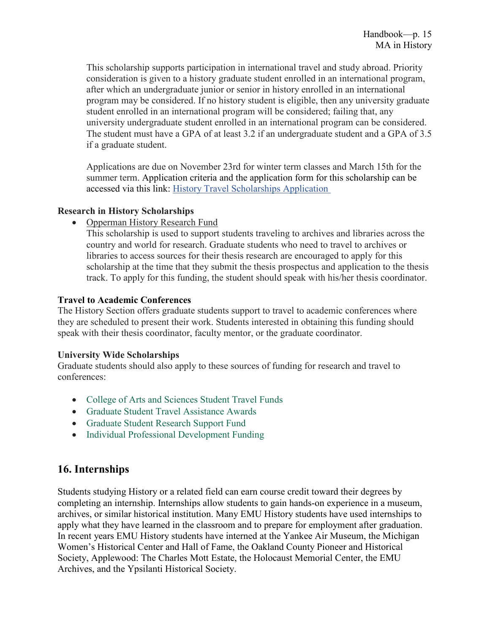This scholarship supports participation in international travel and study abroad. Priority consideration is given to a history graduate student enrolled in an international program, after which an undergraduate junior or senior in history enrolled in an international program may be considered. If no history student is eligible, then any university graduate student enrolled in an international program will be considered; failing that, any university undergraduate student enrolled in an international program can be considered. The student must have a GPA of at least 3.2 if an undergraduate student and a GPA of 3.5 if a graduate student.

Applications are due on November 23rd for winter term classes and March 15th for the summer term. Application criteria and the application form for this scholarship can be accessed via this link: [History Travel Scholarships Application](https://www.emich.edu/historyphilosophy/history/documents/histraveund.doc)

#### **Research in History Scholarships**

• Opperman History Research Fund

This scholarship is used to support students traveling to archives and libraries across the country and world for research. Graduate students who need to travel to archives or libraries to access sources for their thesis research are encouraged to apply for this scholarship at the time that they submit the thesis prospectus and application to the thesis track. To apply for this funding, the student should speak with his/her thesis coordinator.

#### **Travel to Academic Conferences**

The History Section offers graduate students support to travel to academic conferences where they are scheduled to present their work. Students interested in obtaining this funding should speak with their thesis coordinator, faculty mentor, or the graduate coordinator.

#### **University Wide Scholarships**

Graduate students should also apply to these sources of funding for research and travel to conferences:

- College of Arts and [Sciences Student Travel Funds](https://www.emich.edu/cas/students/)
- [Graduate Student Travel Assistance Awards](https://www.emich.edu/graduate/financial_assistance/scholarships/travassist.php)
- [Graduate Student Research Support Fund](https://www.emich.edu/graduate/financial_assistance/scholarships/gsrsfund.php)
- [Individual Professional Development Funding](https://www.emich.edu/campuslife/leadership/scholarships.php)

# **16. Internships**

Students studying History or a related field can earn course credit toward their degrees by completing an internship. Internships allow students to gain hands-on experience in a museum, archives, or similar historical institution. Many EMU History students have used internships to apply what they have learned in the classroom and to prepare for employment after graduation. In recent years EMU History students have interned at the Yankee Air Museum, the Michigan Women's Historical Center and Hall of Fame, the Oakland County Pioneer and Historical Society, Applewood: The Charles Mott Estate, the Holocaust Memorial Center, the EMU Archives, and the Ypsilanti Historical Society.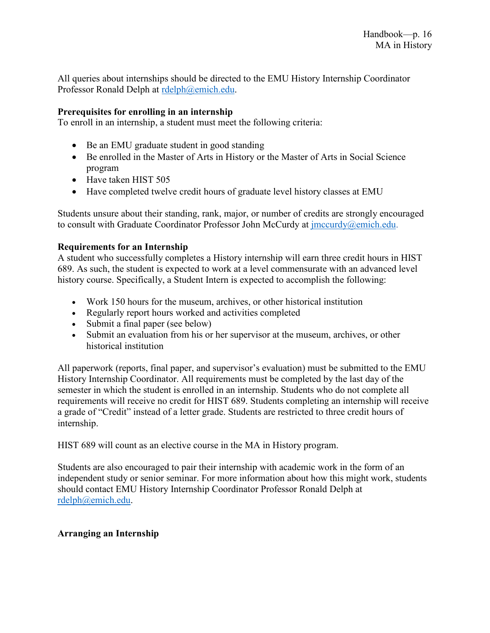All queries about internships should be directed to the EMU History Internship Coordinator Professor Ronald Delph at [rdelph@emich.edu.](mailto:rdelph@emich.edu)

#### **Prerequisites for enrolling in an internship**

To enroll in an internship, a student must meet the following criteria:

- Be an EMU graduate student in good standing
- Be enrolled in the Master of Arts in History or the Master of Arts in Social Science program
- Have taken HIST 505
- Have completed twelve credit hours of graduate level history classes at EMU

Students unsure about their standing, rank, major, or number of credits are strongly encouraged to consult with Graduate Coordinator Professor John McCurdy at *jmccurdy@emich.edu.* 

#### **Requirements for an Internship**

A student who successfully completes a History internship will earn three credit hours in HIST 689. As such, the student is expected to work at a level commensurate with an advanced level history course. Specifically, a Student Intern is expected to accomplish the following:

- Work 150 hours for the museum, archives, or other historical institution
- Regularly report hours worked and activities completed
- Submit a final paper (see below)
- Submit an evaluation from his or her supervisor at the museum, archives, or other historical institution

All paperwork (reports, final paper, and supervisor's evaluation) must be submitted to the EMU History Internship Coordinator. All requirements must be completed by the last day of the semester in which the student is enrolled in an internship. Students who do not complete all requirements will receive no credit for HIST 689. Students completing an internship will receive a grade of "Credit" instead of a letter grade. Students are restricted to three credit hours of internship.

HIST 689 will count as an elective course in the MA in History program.

Students are also encouraged to pair their internship with academic work in the form of an independent study or senior seminar. For more information about how this might work, students should contact EMU History Internship Coordinator Professor Ronald Delph at [rdelph@emich.edu.](mailto:rdelph@emich.edu)

#### **Arranging an Internship**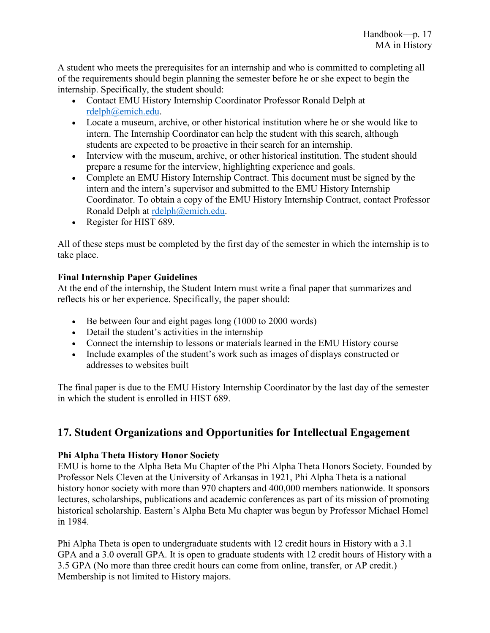A student who meets the prerequisites for an internship and who is committed to completing all of the requirements should begin planning the semester before he or she expect to begin the internship. Specifically, the student should:

- Contact EMU History Internship Coordinator Professor Ronald Delph at [rdelph@emich.edu.](mailto:rdelph@emich.edu)
- Locate a museum, archive, or other historical institution where he or she would like to intern. The Internship Coordinator can help the student with this search, although students are expected to be proactive in their search for an internship.
- Interview with the museum, archive, or other historical institution. The student should prepare a resume for the interview, highlighting experience and goals.
- Complete an EMU History Internship Contract. This document must be signed by the intern and the intern's supervisor and submitted to the EMU History Internship Coordinator. To obtain a copy of the EMU History Internship Contract, contact Professor Ronald Delph at [rdelph@emich.edu.](mailto:rdelph@emich.edu)
- Register for HIST 689.

All of these steps must be completed by the first day of the semester in which the internship is to take place.

#### **Final Internship Paper Guidelines**

At the end of the internship, the Student Intern must write a final paper that summarizes and reflects his or her experience. Specifically, the paper should:

- Be between four and eight pages long (1000 to 2000 words)
- Detail the student's activities in the internship
- Connect the internship to lessons or materials learned in the EMU History course
- Include examples of the student's work such as images of displays constructed or addresses to websites built

The final paper is due to the EMU History Internship Coordinator by the last day of the semester in which the student is enrolled in HIST 689.

# **17. Student Organizations and Opportunities for Intellectual Engagement**

## **Phi Alpha Theta History Honor Society**

EMU is home to the Alpha Beta Mu Chapter of the Phi Alpha Theta Honors Society. Founded by Professor Nels Cleven at the University of Arkansas in 1921, Phi Alpha Theta is a national history honor society with more than 970 chapters and 400,000 members nationwide. It sponsors lectures, scholarships, publications and academic conferences as part of its mission of promoting historical scholarship. Eastern's Alpha Beta Mu chapter was begun by Professor Michael Homel in 1984.

Phi Alpha Theta is open to undergraduate students with 12 credit hours in History with a 3.1 GPA and a 3.0 overall GPA. It is open to graduate students with 12 credit hours of History with a 3.5 GPA (No more than three credit hours can come from online, transfer, or AP credit.) Membership is not limited to History majors.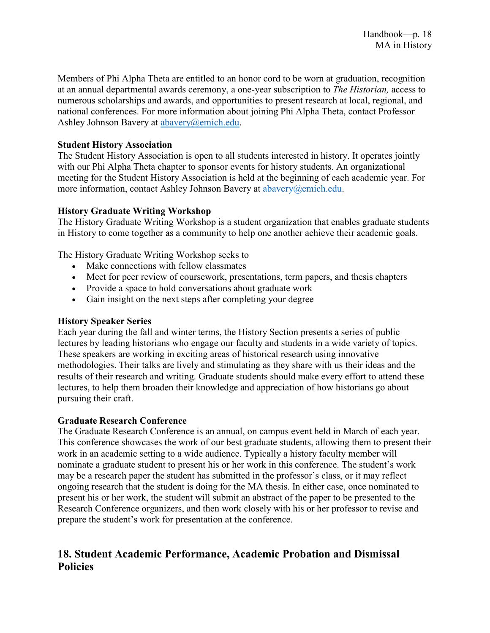Members of Phi Alpha Theta are entitled to an honor cord to be worn at graduation, recognition at an annual departmental awards ceremony, a one-year subscription to *The Historian,* access to numerous scholarships and awards, and opportunities to present research at local, regional, and national conferences. For more information about joining Phi Alpha Theta, contact Professor Ashley Johnson Bavery at [abavery@emich.edu.](mailto:abavery@emich.edu)

#### **Student History Association**

The Student History Association is open to all students interested in history. It operates jointly with our Phi Alpha Theta chapter to sponsor events for history students. An organizational meeting for the Student History Association is held at the beginning of each academic year. For more information, contact Ashley Johnson Bavery at [abavery@emich.edu.](mailto:abavery@emich.edu)

#### **History Graduate Writing Workshop**

The History Graduate Writing Workshop is a student organization that enables graduate students in History to come together as a community to help one another achieve their academic goals.

The History Graduate Writing Workshop seeks to

- Make connections with fellow classmates
- Meet for peer review of coursework, presentations, term papers, and thesis chapters
- Provide a space to hold conversations about graduate work
- Gain insight on the next steps after completing your degree

#### **History Speaker Series**

Each year during the fall and winter terms, the History Section presents a series of public lectures by leading historians who engage our faculty and students in a wide variety of topics. These speakers are working in exciting areas of historical research using innovative methodologies. Their talks are lively and stimulating as they share with us their ideas and the results of their research and writing. Graduate students should make every effort to attend these lectures, to help them broaden their knowledge and appreciation of how historians go about pursuing their craft.

#### **Graduate Research Conference**

The Graduate Research Conference is an annual, on campus event held in March of each year. This conference showcases the work of our best graduate students, allowing them to present their work in an academic setting to a wide audience. Typically a history faculty member will nominate a graduate student to present his or her work in this conference. The student's work may be a research paper the student has submitted in the professor's class, or it may reflect ongoing research that the student is doing for the MA thesis. In either case, once nominated to present his or her work, the student will submit an abstract of the paper to be presented to the Research Conference organizers, and then work closely with his or her professor to revise and prepare the student's work for presentation at the conference.

# **18. Student Academic Performance, Academic Probation and Dismissal Policies**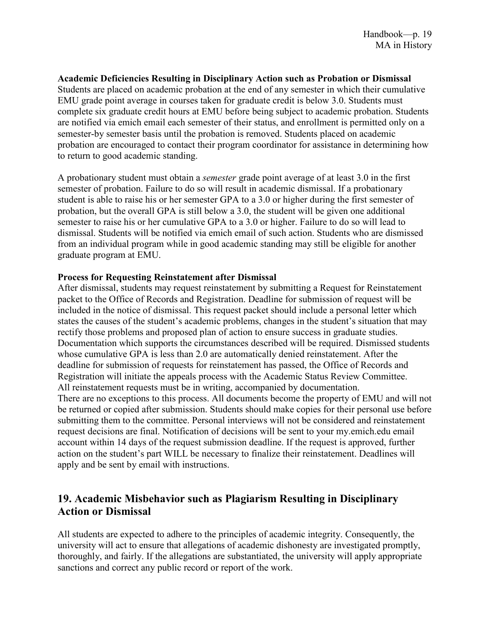#### **Academic Deficiencies Resulting in Disciplinary Action such as Probation or Dismissal**

Students are placed on academic probation at the end of any semester in which their cumulative EMU grade point average in courses taken for graduate credit is below 3.0. Students must complete six graduate credit hours at EMU before being subject to academic probation. Students are notified via emich email each semester of their status, and enrollment is permitted only on a semester-by semester basis until the probation is removed. Students placed on academic probation are encouraged to contact their program coordinator for assistance in determining how to return to good academic standing.

A probationary student must obtain a *semester* grade point average of at least 3.0 in the first semester of probation. Failure to do so will result in academic dismissal. If a probationary student is able to raise his or her semester GPA to a 3.0 or higher during the first semester of probation, but the overall GPA is still below a 3.0, the student will be given one additional semester to raise his or her cumulative GPA to a 3.0 or higher. Failure to do so will lead to dismissal. Students will be notified via emich email of such action. Students who are dismissed from an individual program while in good academic standing may still be eligible for another graduate program at EMU.

#### **Process for Requesting Reinstatement after Dismissal**

After dismissal, students may request reinstatement by submitting a Request for Reinstatement packet to the Office of Records and Registration. Deadline for submission of request will be included in the notice of dismissal. This request packet should include a personal letter which states the causes of the student's academic problems, changes in the student's situation that may rectify those problems and proposed plan of action to ensure success in graduate studies. Documentation which supports the circumstances described will be required. Dismissed students whose cumulative GPA is less than 2.0 are automatically denied reinstatement. After the deadline for submission of requests for reinstatement has passed, the Office of Records and Registration will initiate the appeals process with the Academic Status Review Committee. All reinstatement requests must be in writing, accompanied by documentation. There are no exceptions to this process. All documents become the property of EMU and will not be returned or copied after submission. Students should make copies for their personal use before submitting them to the committee. Personal interviews will not be considered and reinstatement request decisions are final. Notification of decisions will be sent to your my.emich.edu email account within 14 days of the request submission deadline. If the request is approved, further action on the student's part WILL be necessary to finalize their reinstatement. Deadlines will apply and be sent by email with instructions.

# **19. Academic Misbehavior such as Plagiarism Resulting in Disciplinary Action or Dismissal**

All students are expected to adhere to the principles of academic integrity. Consequently, the university will act to ensure that allegations of academic dishonesty are investigated promptly, thoroughly, and fairly. If the allegations are substantiated, the university will apply appropriate sanctions and correct any public record or report of the work.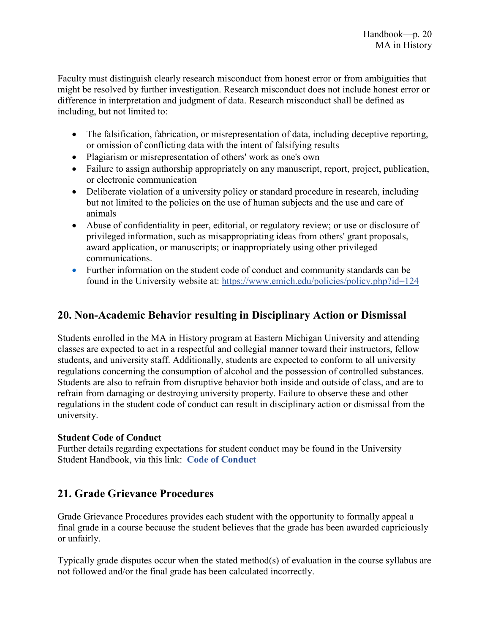Faculty must distinguish clearly research misconduct from honest error or from ambiguities that might be resolved by further investigation. Research misconduct does not include honest error or difference in interpretation and judgment of data. Research misconduct shall be defined as including, but not limited to:

- The falsification, fabrication, or misrepresentation of data, including deceptive reporting, or omission of conflicting data with the intent of falsifying results
- Plagiarism or misrepresentation of others' work as one's own
- Failure to assign authorship appropriately on any manuscript, report, project, publication, or electronic communication
- Deliberate violation of a university policy or standard procedure in research, including but not limited to the policies on the use of human subjects and the use and care of animals
- Abuse of confidentiality in peer, editorial, or regulatory review; or use or disclosure of privileged information, such as misappropriating ideas from others' grant proposals, award application, or manuscripts; or inappropriately using other privileged communications.
- Further information on the student code of conduct and community standards can be found in the University website at: <https://www.emich.edu/policies/policy.php?id=124>

# **20. Non-Academic Behavior resulting in Disciplinary Action or Dismissal**

Students enrolled in the MA in History program at Eastern Michigan University and attending classes are expected to act in a respectful and collegial manner toward their instructors, fellow students, and university staff. Additionally, students are expected to conform to all university regulations concerning the consumption of alcohol and the possession of controlled substances. Students are also to refrain from disruptive behavior both inside and outside of class, and are to refrain from damaging or destroying university property. Failure to observe these and other regulations in the student code of conduct can result in disciplinary action or dismissal from the university.

#### **Student Code of Conduct**

Further details regarding expectations for student conduct may be found in the University Student Handbook, via this link: **[Code of Conduct](http://www.emich.edu/policies/policy.php?id=124)**

# **21. Grade Grievance Procedures**

Grade Grievance Procedures provides each student with the opportunity to formally appeal a final grade in a course because the student believes that the grade has been awarded capriciously or unfairly.

Typically grade disputes occur when the stated method(s) of evaluation in the course syllabus are not followed and/or the final grade has been calculated incorrectly.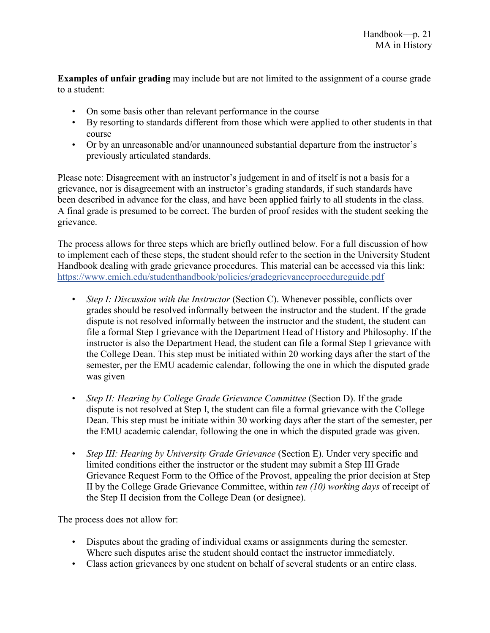**Examples of unfair grading** may include but are not limited to the assignment of a course grade to a student:

- On some basis other than relevant performance in the course
- By resorting to standards different from those which were applied to other students in that course
- Or by an unreasonable and/or unannounced substantial departure from the instructor's previously articulated standards.

Please note: Disagreement with an instructor's judgement in and of itself is not a basis for a grievance, nor is disagreement with an instructor's grading standards, if such standards have been described in advance for the class, and have been applied fairly to all students in the class. A final grade is presumed to be correct. The burden of proof resides with the student seeking the grievance.

The process allows for three steps which are briefly outlined below. For a full discussion of how to implement each of these steps, the student should refer to the section in the University Student Handbook dealing with grade grievance procedures. This material can be accessed via this link: <https://www.emich.edu/studenthandbook/policies/gradegrievanceprocedureguide.pdf>

- *Step I: Discussion with the Instructor* (Section C). Whenever possible, conflicts over grades should be resolved informally between the instructor and the student. If the grade dispute is not resolved informally between the instructor and the student, the student can file a formal Step I grievance with the Department Head of History and Philosophy. If the instructor is also the Department Head, the student can file a formal Step I grievance with the College Dean. This step must be initiated within 20 working days after the start of the semester, per the EMU academic calendar, following the one in which the disputed grade was given
- *Step II: Hearing by College Grade Grievance Committee (Section D).* If the grade dispute is not resolved at Step I, the student can file a formal grievance with the College Dean. This step must be initiate within 30 working days after the start of the semester, per the EMU academic calendar, following the one in which the disputed grade was given.
- *Step III: Hearing by University Grade Grievance* (Section E). Under very specific and limited conditions either the instructor or the student may submit a Step III Grade Grievance Request Form to the Office of the Provost, appealing the prior decision at Step II by the College Grade Grievance Committee, within *ten (10) working days* of receipt of the Step II decision from the College Dean (or designee).

The process does not allow for:

- Disputes about the grading of individual exams or assignments during the semester. Where such disputes arise the student should contact the instructor immediately.
- Class action grievances by one student on behalf of several students or an entire class.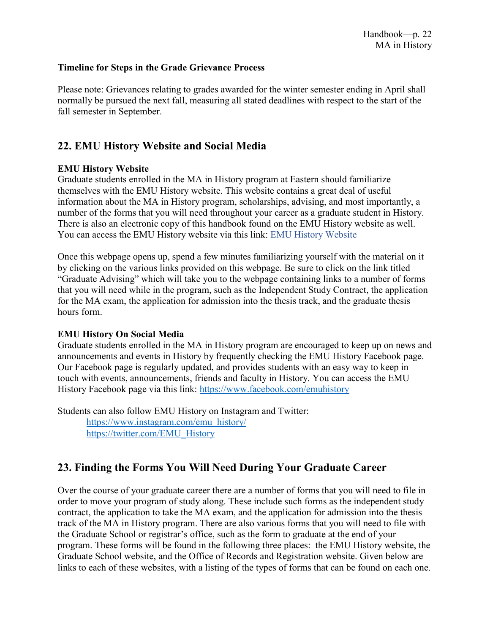#### **Timeline for Steps in the Grade Grievance Process**

Please note: Grievances relating to grades awarded for the winter semester ending in April shall normally be pursued the next fall, measuring all stated deadlines with respect to the start of the fall semester in September.

## **22. EMU History Website and Social Media**

#### **EMU History Website**

Graduate students enrolled in the MA in History program at Eastern should familiarize themselves with the EMU History website. This website contains a great deal of useful information about the MA in History program, scholarships, advising, and most importantly, a number of the forms that you will need throughout your career as a graduate student in History. There is also an electronic copy of this handbook found on the EMU History website as well. You can access the EMU History website via this link: [EMU History Website](https://www.emich.edu/historyphilosophy/history/index.php)

Once this webpage opens up, spend a few minutes familiarizing yourself with the material on it by clicking on the various links provided on this webpage. Be sure to click on the link titled "Graduate Advising" which will take you to the webpage containing links to a number of forms that you will need while in the program, such as the Independent Study Contract, the application for the MA exam, the application for admission into the thesis track, and the graduate thesis hours form.

#### **EMU History On Social Media**

Graduate students enrolled in the MA in History program are encouraged to keep up on news and announcements and events in History by frequently checking the EMU History Facebook page. Our Facebook page is regularly updated, and provides students with an easy way to keep in touch with events, announcements, friends and faculty in History. You can access the EMU History Facebook page via this link: <https://www.facebook.com/emuhistory>

Students can also follow EMU History on Instagram and Twitter: [https://www.instagram.com/emu\\_history/](https://www.instagram.com/emu_history/) [https://twitter.com/EMU\\_History](https://twitter.com/EMU_History)

# **23. Finding the Forms You Will Need During Your Graduate Career**

Over the course of your graduate career there are a number of forms that you will need to file in order to move your program of study along. These include such forms as the independent study contract, the application to take the MA exam, and the application for admission into the thesis track of the MA in History program. There are also various forms that you will need to file with the Graduate School or registrar's office, such as the form to graduate at the end of your program. These forms will be found in the following three places: the EMU History website, the Graduate School website, and the Office of Records and Registration website. Given below are links to each of these websites, with a listing of the types of forms that can be found on each one.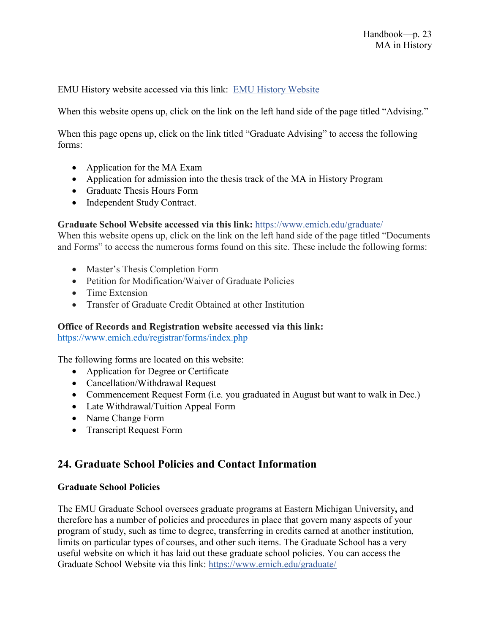EMU History website accessed via this link: [EMU History Website](https://www.emich.edu/historyphilosophy/history/index.php)

When this website opens up, click on the link on the left hand side of the page titled "Advising."

When this page opens up, click on the link titled "Graduate Advising" to access the following forms:

- Application for the MA Exam
- Application for admission into the thesis track of the MA in History Program
- Graduate Thesis Hours Form
- Independent Study Contract.

#### **Graduate School Website accessed via this link:** <https://www.emich.edu/graduate/>

When this website opens up, click on the link on the left hand side of the page titled "Documents and Forms" to access the numerous forms found on this site. These include the following forms:

- Master's Thesis Completion Form
- Petition for Modification/Waiver of Graduate Policies
- Time Extension
- Transfer of Graduate Credit Obtained at other Institution

#### **Office of Records and Registration website accessed via this link:**

<https://www.emich.edu/registrar/forms/index.php>

The following forms are located on this website:

- Application for Degree or Certificate
- Cancellation/Withdrawal Request
- Commencement Request Form (i.e. you graduated in August but want to walk in Dec.)
- Late Withdrawal/Tuition Appeal Form
- Name Change Form
- Transcript Request Form

## **24. Graduate School Policies and Contact Information**

#### **Graduate School Policies**

The EMU Graduate School oversees graduate programs at Eastern Michigan University**,** and therefore has a number of policies and procedures in place that govern many aspects of your program of study, such as time to degree, transferring in credits earned at another institution, limits on particular types of courses, and other such items. The Graduate School has a very useful website on which it has laid out these graduate school policies. You can access the Graduate School Website via this link: <https://www.emich.edu/graduate/>